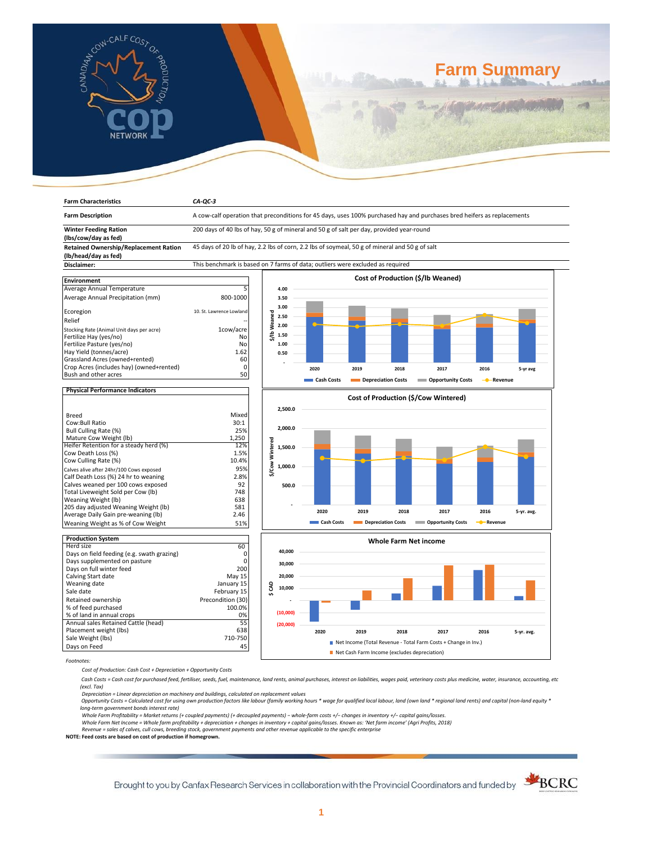

# **Farm Summary**

| <b>Farm Characteristics</b>                              | $CA-QC-3$                                                                                                               |                            |            |                    |      |                                                                |                         |            |  |
|----------------------------------------------------------|-------------------------------------------------------------------------------------------------------------------------|----------------------------|------------|--------------------|------|----------------------------------------------------------------|-------------------------|------------|--|
| <b>Farm Description</b>                                  | A cow-calf operation that preconditions for 45 days, uses 100% purchased hay and purchases bred heifers as replacements |                            |            |                    |      |                                                                |                         |            |  |
| <b>Winter Feeding Ration</b>                             | 200 days of 40 lbs of hay, 50 g of mineral and 50 g of salt per day, provided year-round                                |                            |            |                    |      |                                                                |                         |            |  |
| (lbs/cow/day as fed)                                     |                                                                                                                         |                            |            |                    |      |                                                                |                         |            |  |
| <b>Retained Ownership/Replacement Ration</b>             | 45 days of 20 lb of hay, 2.2 lbs of corn, 2.2 lbs of soymeal, 50 g of mineral and 50 g of salt                          |                            |            |                    |      |                                                                |                         |            |  |
| (lb/head/day as fed)                                     |                                                                                                                         |                            |            |                    |      |                                                                |                         |            |  |
| Disclaimer:                                              | This benchmark is based on 7 farms of data; outliers were excluded as required                                          |                            |            |                    |      |                                                                |                         |            |  |
|                                                          |                                                                                                                         |                            |            |                    |      |                                                                |                         |            |  |
| <b>Environment</b>                                       |                                                                                                                         |                            |            |                    |      | Cost of Production (\$/lb Weaned)                              |                         |            |  |
| Average Annual Temperature                               | 5                                                                                                                       | 4.00                       |            |                    |      |                                                                |                         |            |  |
| Average Annual Precipitation (mm)                        | 800-1000                                                                                                                | 3.50                       |            |                    |      |                                                                |                         |            |  |
|                                                          |                                                                                                                         | 3.00                       |            |                    |      |                                                                |                         |            |  |
| Ecoregion                                                | 10. St. Lawrence Lowland                                                                                                | 2.50                       |            |                    |      |                                                                |                         |            |  |
| Relief                                                   |                                                                                                                         | 2.00                       |            |                    |      |                                                                |                         |            |  |
| Stocking Rate (Animal Unit days per acre)                | 1cow/acre                                                                                                               | \$/lbWeaned                |            |                    |      |                                                                |                         |            |  |
| Fertilize Hay (yes/no)                                   | No                                                                                                                      | 1.50                       |            |                    |      |                                                                |                         |            |  |
| Fertilize Pasture (yes/no)                               | No                                                                                                                      | 1.00                       |            |                    |      |                                                                |                         |            |  |
| Hay Yield (tonnes/acre)                                  | 1.62                                                                                                                    | 0.50                       |            |                    |      |                                                                |                         |            |  |
| Grassland Acres (owned+rented)                           | 60                                                                                                                      |                            |            |                    |      |                                                                |                         |            |  |
| Crop Acres (includes hay) (owned+rented)                 | $\mathbf 0$                                                                                                             |                            | 2020       | 2019               | 2018 | 2017                                                           | 2016                    | 5-yr avg   |  |
| Bush and other acres                                     | 50                                                                                                                      |                            | Cash Costs | Depreciation Costs |      | <b>Opportunity Costs</b>                                       | -Revenue<br>-0          |            |  |
| <b>Physical Performance Indicators</b>                   |                                                                                                                         |                            |            |                    |      |                                                                |                         |            |  |
|                                                          |                                                                                                                         |                            |            |                    |      | Cost of Production (\$/Cow Wintered)                           |                         |            |  |
|                                                          |                                                                                                                         | 2,500.0                    |            |                    |      |                                                                |                         |            |  |
| <b>Breed</b>                                             | Mixed                                                                                                                   |                            |            |                    |      |                                                                |                         |            |  |
| Cow:Bull Ratio                                           | 30:1                                                                                                                    |                            |            |                    |      |                                                                |                         |            |  |
| Bull Culling Rate (%)                                    | 25%                                                                                                                     | 2,000.0                    |            |                    |      |                                                                |                         |            |  |
| Mature Cow Weight (lb)                                   | 1,250                                                                                                                   |                            |            |                    |      |                                                                |                         |            |  |
| Heifer Retention for a steady herd (%)                   | 12%                                                                                                                     | \$/Cow Wintered<br>1,500.0 |            |                    |      |                                                                |                         |            |  |
| Cow Death Loss (%)                                       | 1.5%                                                                                                                    |                            |            |                    |      |                                                                |                         |            |  |
| Cow Culling Rate (%)                                     | 10.4%                                                                                                                   |                            |            |                    |      |                                                                |                         |            |  |
| Calves alive after 24hr/100 Cows exposed                 | 95%                                                                                                                     | 1,000.0                    |            |                    |      |                                                                |                         |            |  |
| Calf Death Loss (%) 24 hr to weaning                     | 2.8%                                                                                                                    |                            |            |                    |      |                                                                |                         |            |  |
| Calves weaned per 100 cows exposed                       | 92                                                                                                                      | 500.0                      |            |                    |      |                                                                |                         |            |  |
| Total Liveweight Sold per Cow (lb)                       | 748                                                                                                                     |                            |            |                    |      |                                                                |                         |            |  |
| Weaning Weight (lb)                                      | 638                                                                                                                     |                            |            |                    |      |                                                                |                         |            |  |
| 205 day adjusted Weaning Weight (lb)                     | 581                                                                                                                     |                            | 2020       | 2019               | 2018 | 2017                                                           | 2016                    | 5-yr. avg. |  |
| Average Daily Gain pre-weaning (lb)                      | 2.46                                                                                                                    |                            |            |                    |      |                                                                |                         |            |  |
| Weaning Weight as % of Cow Weight                        | 51%                                                                                                                     |                            | Cash Costs | Depreciation Costs |      | <b>COPPORTUNITY COSTS</b>                                      | - <sup>0</sup> -Revenue |            |  |
|                                                          |                                                                                                                         |                            |            |                    |      |                                                                |                         |            |  |
| <b>Production System</b><br>Herd size                    | 60                                                                                                                      |                            |            |                    |      | <b>Whole Farm Net income</b>                                   |                         |            |  |
|                                                          | 0                                                                                                                       | 40,000                     |            |                    |      |                                                                |                         |            |  |
| Days on field feeding (e.g. swath grazing)               | $\mathbf 0$                                                                                                             |                            |            |                    |      |                                                                |                         |            |  |
| Days supplemented on pasture<br>Days on full winter feed | 200                                                                                                                     | 30,000                     |            |                    |      |                                                                |                         |            |  |
| Calving Start date                                       | May 15                                                                                                                  | 20,000                     |            |                    |      |                                                                |                         |            |  |
| Weaning date                                             | January 15                                                                                                              |                            |            |                    |      |                                                                |                         |            |  |
| Sale date                                                | February 15                                                                                                             | g<br>10,000                |            |                    |      |                                                                |                         |            |  |
| Retained ownership                                       | Precondition (30)                                                                                                       | $\overline{v}$             |            |                    |      |                                                                |                         |            |  |
| % of feed purchased                                      | 100.0%                                                                                                                  |                            |            |                    |      |                                                                |                         |            |  |
| % of land in annual crops                                | 0%                                                                                                                      | (10,000)                   |            |                    |      |                                                                |                         |            |  |
| Annual sales Retained Cattle (head)                      | 55                                                                                                                      |                            |            |                    |      |                                                                |                         |            |  |
| Placement weight (lbs)                                   | 638                                                                                                                     | (20,000)                   |            |                    |      |                                                                |                         |            |  |
|                                                          | 710-750                                                                                                                 |                            | 2020       | 2019               | 2018 | 2017                                                           | 2016                    | 5-yr. avg. |  |
| Sale Weight (lbs)                                        |                                                                                                                         |                            |            |                    |      | Net Income (Total Revenue - Total Farm Costs + Change in Inv.) |                         |            |  |
| Days on Feed                                             | 45<br>Net Cash Farm Income (excludes depreciation)                                                                      |                            |            |                    |      |                                                                |                         |            |  |
|                                                          |                                                                                                                         |                            |            |                    |      |                                                                |                         |            |  |

*Footnotes:*

*Cost of Production: Cash Cost + Depreciation + Opportunity Costs*

 *Cash Costs = Cash cost for purchased feed, fertiliser, seeds, fuel, maintenance, land rents, animal purchases, interest on liabilities, wages paid, veterinary costs plus medicine, water, insurance, accounting, etc (excl. Tax)* 

Depreciation = Linear depreciation on machinery and buildings, calculated on replacement values<br>Opportunity Costs = Calculated cost for using own production factors like labour (family working hours \* wage for qualified lo

*long-term government bonds interest rate)* 

Whole Farm Profitability = Market returns (+ coupled payments) (+ decoupled payments) – whole-farm costs +/– changes in inventory +/– capital gains/losses.<br>Whole Farm Net Income = Whole farm profitability + depreciation +

*Revenue = sales of calves, cull cows, breeding stock, government payments and other revenue applicable to the specific enterprise* **NOTE: Feed costs are based on cost of production if homegrown.**

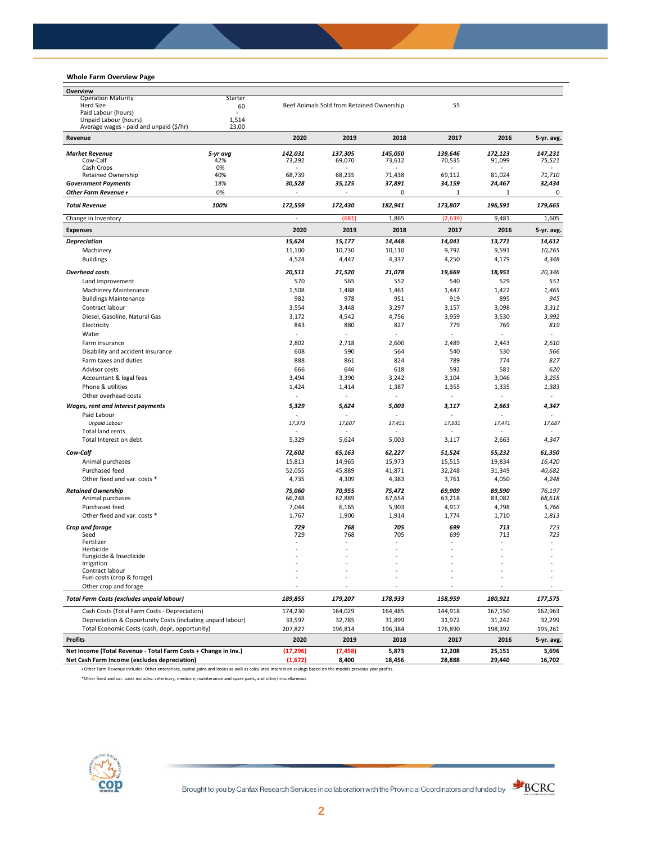# **Whole Farm Overview Page**

| Overview                                                       |                                |                          |                                           |         |                  |                          |            |
|----------------------------------------------------------------|--------------------------------|--------------------------|-------------------------------------------|---------|------------------|--------------------------|------------|
| <b>Operation Maturity</b>                                      | Starter                        |                          |                                           |         |                  |                          |            |
| <b>Herd Size</b><br>Paid Labour (hours)                        | 60<br>$\overline{\phantom{a}}$ |                          | Beef Animals Sold from Retained Ownership |         | 55               |                          |            |
| Unpaid Labour (hours)                                          | 1,514                          |                          |                                           |         |                  |                          |            |
| Average wages - paid and unpaid (\$/hr)                        | 23.00                          |                          |                                           |         |                  |                          |            |
| Revenue                                                        |                                | 2020                     | 2019                                      | 2018    | 2017             | 2016                     | 5-yr. avg. |
| <b>Market Revenue</b>                                          | 5-yr avg                       | 142,031                  | 137,305                                   | 145,050 | 139,646          | 172,123                  | 147,231    |
| Cow-Calf                                                       | 42%                            | 73,292                   | 69,070                                    | 73,612  | 70,535           | 91,099                   | 75,521     |
| Cash Crops<br><b>Retained Ownership</b>                        | 0%<br>40%                      | 68,739                   | 68,235                                    | 71,438  | $\sim$<br>69,112 | 81,024                   | 71,710     |
| <b>Government Payments</b>                                     | 18%                            | 30,528                   | 35,125                                    | 37,891  | 34,159           | 24,467                   | 32,434     |
| Other Farm Revenue +                                           | 0%                             |                          |                                           | 0       | $\mathbf{1}$     | 1                        | 0          |
| <b>Total Revenue</b>                                           | 100%                           | 172,559                  | 172,430                                   | 182,941 | 173,807          | 196,591                  | 179,665    |
| Change in Inventory                                            |                                | ä,                       | (681)                                     | 1,865   | (2,639)          | 9,481                    | 1,605      |
| <b>Expenses</b>                                                |                                | 2020                     | 2019                                      | 2018    | 2017             | 2016                     | 5-yr. avg. |
| <b>Depreciation</b>                                            |                                | 15,624                   | 15,177                                    | 14,448  | 14,041           | 13,771                   | 14,612     |
| Machinery                                                      |                                | 11,100                   | 10,730                                    | 10,110  | 9,792            | 9,591                    | 10,265     |
| <b>Buildings</b>                                               |                                | 4,524                    | 4,447                                     | 4,337   | 4,250            | 4,179                    | 4,348      |
| <b>Overhead costs</b>                                          |                                | 20,511                   | 21,520                                    | 21,078  | 19,669           | 18,951                   | 20,346     |
| Land improvement                                               |                                | 570                      | 565                                       | 552     | 540              | 529                      | 551        |
| Machinery Maintenance                                          |                                | 1,508                    | 1,488                                     | 1,461   | 1,447            | 1,422                    | 1,465      |
| <b>Buildings Maintenance</b>                                   |                                | 982                      | 978                                       | 951     | 919              | 895                      | 945        |
| Contract labour                                                |                                | 3,554                    | 3,448                                     | 3,297   | 3,157            | 3,098                    | 3,311      |
| Diesel, Gasoline, Natural Gas                                  |                                | 3,172                    | 4,542                                     | 4,756   | 3,959            | 3,530                    | 3,992      |
| Electricity                                                    |                                | 843                      | 880                                       | 827     | 779              | 769                      | 819        |
| Water                                                          |                                | ä,                       | ä,                                        |         | ÷                | ä,                       | ÷.         |
| Farm insurance                                                 |                                | 2,802                    | 2,718                                     | 2,600   | 2,489            | 2,443                    | 2,610      |
| Disability and accident insurance                              |                                | 608                      | 590                                       | 564     | 540              | 530                      | 566        |
| Farm taxes and duties                                          |                                | 888                      | 861                                       | 824     | 789              | 774                      | 827        |
| Advisor costs                                                  |                                | 666                      | 646                                       | 618     | 592              | 581                      | 620        |
| Accountant & legal fees                                        |                                | 3,494                    | 3,390                                     | 3,242   | 3,104            | 3,046                    | 3,255      |
| Phone & utilities                                              |                                | 1,424                    | 1,414                                     | 1,387   | 1,355            | 1,335                    | 1,383      |
| Other overhead costs                                           |                                |                          |                                           |         | $\sim$           |                          |            |
| Wages, rent and interest payments                              |                                | 5,329                    | 5,624                                     | 5,003   | 3,117            | 2,663                    | 4,347      |
| Paid Labour                                                    |                                | ٠                        |                                           |         |                  |                          |            |
| <b>Unpaid Labour</b>                                           |                                | 17,973                   | 17,607                                    | 17,451  | 17,931           | 17,471                   | 17,687     |
| <b>Total land rents</b>                                        |                                | $\overline{\phantom{a}}$ | ä,                                        | $\sim$  | $\sim$           | $\overline{\phantom{a}}$ |            |
| Total Interest on debt                                         |                                | 5,329                    | 5,624                                     | 5,003   | 3,117            | 2,663                    | 4,347      |
| Cow-Calf                                                       |                                | 72,602                   | 65,163                                    | 62,227  | 51,524           | 55,232                   | 61,350     |
| Animal purchases                                               |                                | 15,813                   | 14,965                                    | 15,973  | 15,515           | 19,834                   | 16,420     |
| Purchased feed                                                 |                                | 52,055                   | 45,889                                    | 41,871  | 32,248           | 31,349                   | 40,682     |
| Other fixed and var. costs *                                   |                                | 4,735                    | 4,309                                     | 4,383   | 3,761            | 4,050                    | 4,248      |
| <b>Retained Ownership</b>                                      |                                | 75,060                   | 70,955                                    | 75,472  | 69,909           | 89,590                   | 76,197     |
| Animal purchases                                               |                                | 66,248                   | 62,889                                    | 67,654  | 63,218           | 83,082                   | 68,618     |
| Purchased feed                                                 |                                | 7,044                    | 6,165                                     | 5,903   | 4,917            | 4,798                    | 5,766      |
| Other fixed and var. costs *                                   |                                | 1,767                    | 1,900                                     | 1,914   | 1,774            | 1,710                    | 1,813      |
| Crop and forage                                                |                                | 729                      | 768                                       | 705     | 699              | 713                      | 723        |
| Seed<br>Fertilizer                                             |                                | 729                      | 768                                       | 705     | 699              | 713                      | 723        |
| Herbicide                                                      |                                | ä,                       | ٠                                         |         |                  | $\overline{\phantom{a}}$ |            |
| Fungicide & Insecticide                                        |                                |                          |                                           |         |                  |                          |            |
| <b>Irrigation</b>                                              |                                |                          |                                           |         |                  |                          |            |
| Contract labour<br>Fuel costs (crop & forage)                  |                                |                          |                                           |         |                  |                          |            |
| Other crop and forage                                          |                                |                          |                                           |         |                  |                          |            |
| Total Farm Costs (excludes unpaid labour)                      |                                | 189,855                  | 179,207                                   | 178,933 | 158,959          | 180,921                  | 177,575    |
| Cash Costs (Total Farm Costs - Depreciation)                   |                                | 174,230                  | 164,029                                   | 164,485 | 144,918          | 167,150                  | 162,963    |
| Depreciation & Opportunity Costs (including unpaid labour)     |                                | 33,597                   | 32,785                                    | 31,899  | 31,972           | 31,242                   | 32,299     |
| Total Economic Costs (cash, depr, opportunity)                 |                                | 207,827                  | 196,814                                   | 196,384 | 176,890          | 198,392                  | 195,261    |
| <b>Profits</b>                                                 |                                | 2020                     | 2019                                      | 2018    | 2017             | 2016                     | 5-yr. avg. |
| Net Income (Total Revenue - Total Farm Costs + Change in Inv.) |                                | (17, 296)                | (7, 458)                                  | 5,873   | 12,208           | 25,151                   | 3,696      |
| Net Cash Farm Income (excludes depreciation)                   |                                | (1,672)                  | 8,400                                     | 18,456  | 28,888           | 29,440                   | 16,702     |

ᵻ Other Farm Revenue includes: Other enterprises, capital gains and losses as well as calculated interest on savings based on the models previous year profits.

\*Other fixed and var. costs includes: veterinary, medicine, maintenance and spare parts, and other/miscellaneous



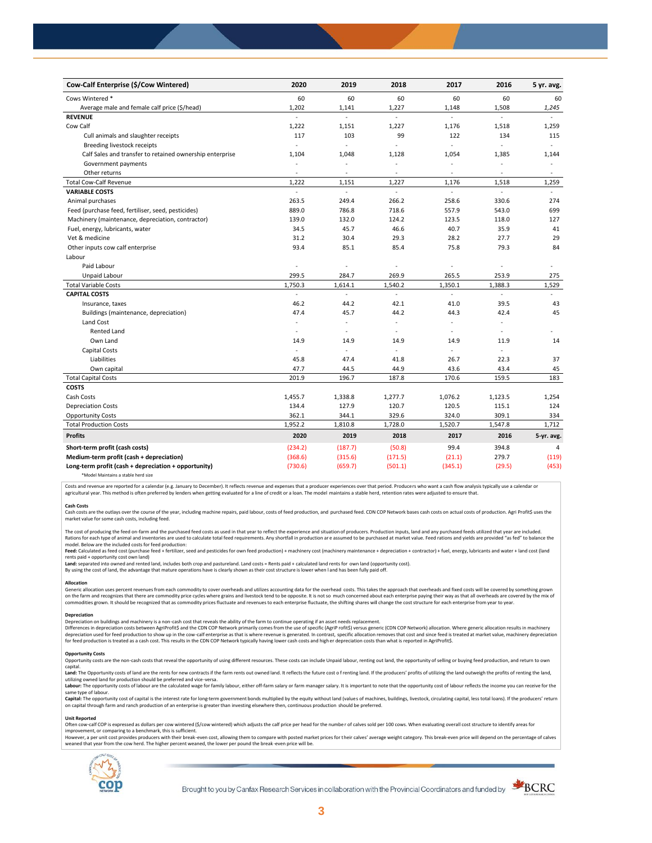| Cow-Calf Enterprise (\$/Cow Wintered)                    | 2020                     | 2019                     | 2018                 | 2017                     | 2016                     | 5 yr. avg.               |
|----------------------------------------------------------|--------------------------|--------------------------|----------------------|--------------------------|--------------------------|--------------------------|
| Cows Wintered *                                          | 60                       | 60                       | 60                   | 60                       | 60                       | 60                       |
| Average male and female calf price (\$/head)             | 1,202                    | 1,141                    | 1,227                | 1,148                    | 1,508                    | 1,245                    |
| <b>REVENUE</b>                                           | $\overline{a}$           | L.                       | $\mathcal{L}$        | ÷                        | $\overline{\phantom{a}}$ |                          |
| Cow Calf                                                 | 1,222                    | 1,151                    | 1,227                | 1,176                    | 1,518                    | 1,259                    |
| Cull animals and slaughter receipts                      | 117                      | 103                      | 99                   | 122                      | 134                      | 115                      |
| Breeding livestock receipts                              | $\overline{\phantom{a}}$ |                          |                      | ä,                       |                          | $\omega$                 |
| Calf Sales and transfer to retained ownership enterprise | 1,104                    | 1,048                    | 1,128                | 1,054                    | 1,385                    | 1,144                    |
| Government payments                                      | $\sim$                   | ÷,                       | $\ddot{\phantom{1}}$ | $\sim$                   | ٠                        | $\bar{a}$                |
| Other returns                                            | ä,                       | $\overline{a}$           |                      | $\overline{a}$           | $\overline{a}$           | $\overline{\phantom{a}}$ |
| <b>Total Cow-Calf Revenue</b>                            | 1,222                    | 1,151                    | 1,227                | 1,176                    | 1,518                    | 1,259                    |
| <b>VARIABLE COSTS</b>                                    | ÷.                       | L.                       | ä,                   | ä,                       | $\overline{a}$           | $\omega$                 |
| Animal purchases                                         | 263.5                    | 249.4                    | 266.2                | 258.6                    | 330.6                    | 274                      |
| Feed (purchase feed, fertiliser, seed, pesticides)       | 889.0                    | 786.8                    | 718.6                | 557.9                    | 543.0                    | 699                      |
| Machinery (maintenance, depreciation, contractor)        | 139.0                    | 132.0                    | 124.2                | 123.5                    | 118.0                    | 127                      |
| Fuel, energy, lubricants, water                          | 34.5                     | 45.7                     | 46.6                 | 40.7                     | 35.9                     | 41                       |
| Vet & medicine                                           | 31.2                     | 30.4                     | 29.3                 | 28.2                     | 27.7                     | 29                       |
| Other inputs cow calf enterprise                         | 93.4                     | 85.1                     | 85.4                 | 75.8                     | 79.3                     | 84                       |
| Labour                                                   |                          |                          |                      |                          |                          |                          |
| Paid Labour                                              | ÷,                       | ä,                       |                      | ÷,                       |                          |                          |
| Unpaid Labour                                            | 299.5                    | 284.7                    | 269.9                | 265.5                    | 253.9                    | 275                      |
| <b>Total Variable Costs</b>                              | 1,750.3                  | 1,614.1                  | 1,540.2              | 1,350.1                  | 1,388.3                  | 1,529                    |
| <b>CAPITAL COSTS</b>                                     |                          |                          |                      |                          |                          |                          |
| Insurance, taxes                                         | 46.2                     | 44.2                     | 42.1                 | 41.0                     | 39.5                     | 43                       |
| Buildings (maintenance, depreciation)                    | 47.4                     | 45.7                     | 44.2                 | 44.3                     | 42.4                     | 45                       |
| Land Cost                                                | $\overline{\phantom{a}}$ | $\overline{\phantom{a}}$ | ÷                    | $\overline{\phantom{a}}$ | $\sim$                   |                          |
| <b>Rented Land</b>                                       | ٠                        | ٠                        |                      | ٠                        | $\overline{a}$           |                          |
| Own Land                                                 | 14.9                     | 14.9                     | 14.9                 | 14.9                     | 11.9                     | 14                       |
| <b>Capital Costs</b>                                     | ÷,                       | $\sim$                   |                      | $\sim$                   | ÷.                       |                          |
| Liabilities                                              | 45.8                     | 47.4                     | 41.8                 | 26.7                     | 22.3                     | 37                       |
| Own capital                                              | 47.7                     | 44.5                     | 44.9                 | 43.6                     | 43.4                     | 45                       |
| <b>Total Capital Costs</b>                               | 201.9                    | 196.7                    | 187.8                | 170.6                    | 159.5                    | 183                      |
| <b>COSTS</b>                                             |                          |                          |                      |                          |                          |                          |
| Cash Costs                                               | 1,455.7                  | 1,338.8                  | 1,277.7              | 1,076.2                  | 1,123.5                  | 1,254                    |
| <b>Depreciation Costs</b>                                | 134.4                    | 127.9                    | 120.7                | 120.5                    | 115.1                    | 124                      |
| <b>Opportunity Costs</b>                                 | 362.1                    | 344.1                    | 329.6                | 324.0                    | 309.1                    | 334                      |
| <b>Total Production Costs</b>                            | 1,952.2                  | 1,810.8                  | 1,728.0              | 1,520.7                  | 1,547.8                  | 1,712                    |
| <b>Profits</b>                                           | 2020                     | 2019                     | 2018                 | 2017                     | 2016                     | 5-yr. avg.               |
| Short-term profit (cash costs)                           | (234.2)                  | (187.7)                  | (50.8)               | 99.4                     | 394.8                    | 4                        |
| Medium-term profit (cash + depreciation)                 | (368.6)                  | (315.6)                  | (171.5)              | (21.1)                   | 279.7                    | (119)                    |
| Long-term profit (cash + depreciation + opportunity)     | (730.6)                  | (659.7)                  | (501.1)              | (345.1)                  | (29.5)                   | (453)                    |
|                                                          |                          |                          |                      |                          |                          |                          |

\*Model Maintains a stable herd size

Costs and revenue are reported for a calendar (e.g. January to December). It reflects revenue and expenses that a producer experiences over that period. Producers who want a cash flow analysis typically use a calendar or agricultural year. This method is often preferred by lenders when getting evaluated for a line of credit or a loan. The model maintains a stable herd, retention rates were adjusted to ensure that

C<mark>ash Costs</mark><br>Cash costs are the outlays over the course of the year, including machine repairs, paid labour, costs of feed production, and purchased feed. CDN COP Network bases cash costs on actual costs of production. Agr market value for some cash costs, including feed.

The cost of producing the feed on-farm and the purchased feed costs as used in that year to reflect the experience and situation of producers. Production inputs, land and any purchased feeds utilized that year are included model. Below are the included costs for feed production:

moder.outwhat was made used to receip would continuour.<br>**Feed:** Calculated as feed cost (purchase feed + fertilizer, seed and pesticides for own feed production) + machinery cost (machinery maintenance + depreciation + con rents paid + opportunity cost own land)

**Land:** separated into owned and rented land, includes both crop and pastureland. Land costs = Rents paid + calculated land rents for own land (opportunity cost).

By using the cost of land, the advantage that mature operations have is clearly shown as their cost structure is lower when l and has been fully paid off.

## **Allocation**

Generic allocation uses percent revenues from each commodity to cover overheads and utilizes accounting data for the overhead costs. This takes the approach that overheads and fixed costs will be covered by something grown commodities grown. It should be recognized that as commodity prices fluctuate and revenues to each enterprise fluctuate, the shifting shares will change the cost structure for each enterprise from year to year.

# **Depreciation**

Depreciation on buildings and machinery is a non-cash cost that reveals the ability of the farm to continue operating if an asset needs replacement. Differences in depreciation costs between AgriProfit\$ and the CDN COP Network primarily comes from the use of specific (AgriP rofit\$) versus generic (CDN COP Network) allocation. Where generic allocation results in machine

### **Opportunity Costs**

Provincing COSS are the non-cash costs that reveal the opportunity of using different resources. These costs can include Unpaid labour, renting out land, the opportunity of selling or buying feed production, and return to capital.

required.<br>Land: The Opportunity costs of land are the rents for new contracts if the farm rents out owned land. It reflects the future cost of renting land. If the producers' profits of utilizing the land outweigh the prof utilizing owned land for production should be preferred and vice-versa.<br>**Labour:** The opportunity costs of labour are the calculated wage for family labour, either off-farm salary or farm manager salary. It is important to

same type of labour.

**Capita**l: The opportunity cost of capital is the interest rate for long-term government bonds multiplied by the equity without land (values of machines, buildings, livestock, circulating capital, less total loans). If the

### **Unit Reported**

Often cow-calf COP is expressed as dollars per cow wintered (\$/cow wintered) which adjusts the calf price per head for the number of calves sold per 100 cows. When evaluating overall cost structure to identify areas for<br>im

however..export of the structure with the structure of the break-even cost. allowing them to compare with posted market prices for their calves' average weight category. This break-even price will depend on the percentage weaned that year from the cow herd. The higher percent weaned, the lower per pound the break -even price will be.



Brought to you by Canfax Research Services in collaboration with the Provincial Coordinators and funded by

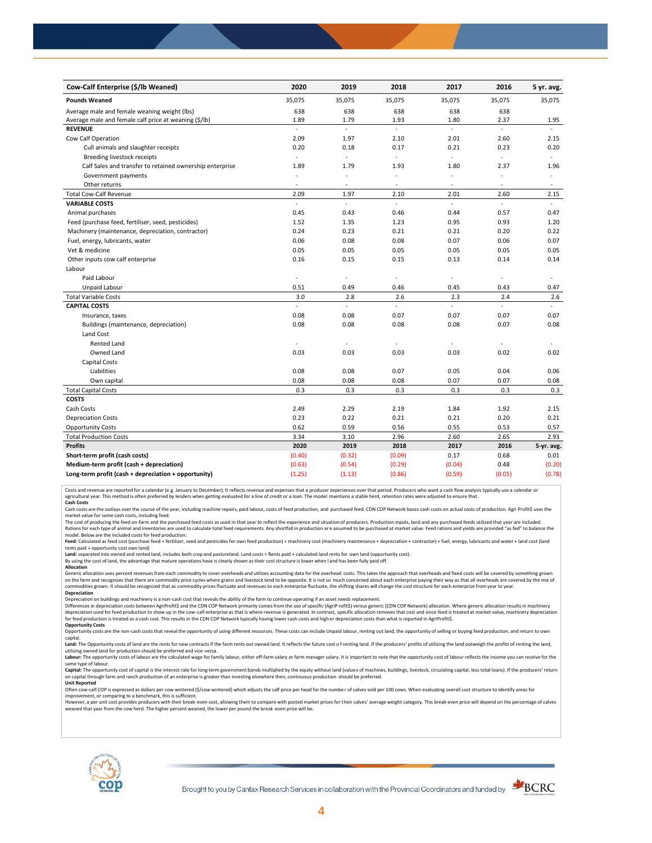| Cow-Calf Enterprise (\$/lb Weaned)                       | 2020                     | 2019   | 2018   | 2017           | 2016   | 5 yr. avg.     |
|----------------------------------------------------------|--------------------------|--------|--------|----------------|--------|----------------|
| <b>Pounds Weaned</b>                                     | 35,075                   | 35,075 | 35,075 | 35,075         | 35,075 | 35,075         |
| Average male and female weaning weight (lbs)             | 638                      | 638    | 638    | 638            | 638    |                |
| Average male and female calf price at weaning (\$/lb)    | 1.89                     | 1.79   | 1.93   | 1.80           | 2.37   | 1.95           |
| <b>REVENUE</b>                                           | $\overline{a}$           | L.     | L.     | $\overline{a}$ | ä,     |                |
| Cow Calf Operation                                       | 2.09                     | 1.97   | 2.10   | 2.01           | 2.60   | 2.15           |
| Cull animals and slaughter receipts                      | 0.20                     | 0.18   | 0.17   | 0.21           | 0.23   | 0.20           |
| Breeding livestock receipts                              | $\overline{\phantom{a}}$ | ä,     | ä,     | ä,             | ÷,     | $\equiv$       |
| Calf Sales and transfer to retained ownership enterprise | 1.89                     | 1.79   | 1.93   | 1.80           | 2.37   | 1.96           |
| Government payments                                      | $\sim$                   | ÷,     | L,     | ä,             |        | $\bar{a}$      |
| Other returns                                            | $\sim$                   | ٠      | $\sim$ | $\sim$         | $\sim$ | $\overline{a}$ |
| <b>Total Cow-Calf Revenue</b>                            | 2.09                     | 1.97   | 2.10   | 2.01           | 2.60   | 2.15           |
| <b>VARIABLE COSTS</b>                                    | $\overline{a}$           | L.     | L.     | L.             |        |                |
| Animal purchases                                         | 0.45                     | 0.43   | 0.46   | 0.44           | 0.57   | 0.47           |
| Feed (purchase feed, fertiliser, seed, pesticides)       | 1.52                     | 1.35   | 1.23   | 0.95           | 0.93   | 1.20           |
| Machinery (maintenance, depreciation, contractor)        | 0.24                     | 0.23   | 0.21   | 0.21           | 0.20   | 0.22           |
| Fuel, energy, lubricants, water                          | 0.06                     | 0.08   | 0.08   | 0.07           | 0.06   | 0.07           |
| Vet & medicine                                           | 0.05                     | 0.05   | 0.05   | 0.05           | 0.05   | 0.05           |
| Other inputs cow calf enterprise                         | 0.16                     | 0.15   | 0.15   | 0.13           | 0.14   | 0.14           |
| Labour                                                   |                          |        |        |                |        |                |
| Paid Labour                                              | $\sim$                   | ä,     | ä,     | ä,             | ÷,     |                |
| Unpaid Labour                                            | 0.51                     | 0.49   | 0.46   | 0.45           | 0.43   | 0.47           |
| <b>Total Variable Costs</b>                              | 3.0                      | 2.8    | 2.6    | 2.3            | 2.4    | 2.6            |
| <b>CAPITAL COSTS</b>                                     | $\mathcal{L}$            | ä,     | ÷.     | L.             | L.     | ÷.             |
| Insurance, taxes                                         | 0.08                     | 0.08   | 0.07   | 0.07           | 0.07   | 0.07           |
| Buildings (maintenance, depreciation)                    | 0.08                     | 0.08   | 0.08   | 0.08           | 0.07   | 0.08           |
| Land Cost                                                |                          |        |        |                |        |                |
| <b>Rented Land</b>                                       | $\sim$                   | ä,     |        | ٠              |        |                |
| Owned Land                                               | 0.03                     | 0.03   | 0.03   | 0.03           | 0.02   | 0.02           |
| Capital Costs                                            |                          |        |        |                |        |                |
| Liabilities                                              | 0.08                     | 0.08   | 0.07   | 0.05           | 0.04   | 0.06           |
| Own capital                                              | 0.08                     | 0.08   | 0.08   | 0.07           | 0.07   | 0.08           |
| <b>Total Capital Costs</b>                               | 0.3                      | 0.3    | 0.3    | 0.3            | 0.3    | 0.3            |
| <b>COSTS</b>                                             |                          |        |        |                |        |                |
| Cash Costs                                               | 2.49                     | 2.29   | 2.19   | 1.84           | 1.92   | 2.15           |
| <b>Depreciation Costs</b>                                | 0.23                     | 0.22   | 0.21   | 0.21           | 0.20   | 0.21           |
| <b>Opportunity Costs</b>                                 | 0.62                     | 0.59   | 0.56   | 0.55           | 0.53   | 0.57           |
| <b>Total Production Costs</b>                            | 3.34                     | 3.10   | 2.96   | 2.60           | 2.65   | 2.93           |
| <b>Profits</b>                                           | 2020                     | 2019   | 2018   | 2017           | 2016   | 5-yr. avg.     |
| Short-term profit (cash costs)                           | (0.40)                   | (0.32) | (0.09) | 0.17           | 0.68   | 0.01           |
| Medium-term profit (cash + depreciation)                 | (0.63)                   | (0.54) | (0.29) | (0.04)         | 0.48   | (0.20)         |
| Long-term profit (cash + depreciation + opportunity)     | (1.25)                   | (1.13) | (0.86) | (0.59)         | (0.05) | (0.78)         |

Costs and revenue are reported for a calendar (e.g. January to December). It reflects revenue and expenses that a producer experiences over that period. Producers who want a cash flow analysis typically use a calendar or<br>a

cash costs are the outlays over the course of the year, including machine repairs, paid labour, costs of feed production, and purchased feed. CDN COP Network bases cash costs on actual costs of production. Agri Profit\$ use market value for some cash costs, including feed.

The cost of producing the feed on-farm and the purchased feed costs as used in that year to reflect the experience and situation of producers. Production inputs, land and any purchased feeds utilized that year are included model. Below are the included costs for feed production:

Feed: Calculated as feed cost (purchase feed + fertilizer, seed and pesticides for own feed production) + machinery cost (machinery maintenance + depreciation + contractor) + fuel, energy, lubricants and water + land cost

Land: separated into owned and rented land, includes both crop and pastureland. Land costs = Rents paid + calculated land rents for own land (opportunity cost).

By using the cost of land, the advantage that mature operations have is clearly shown as their cost structure is lower when l and has been fully paid off. **Allocation**

Generic allocation uses percent revenues from each commodity to cover overheads and utilizes accounting data for the overhead costs. This takes the approach that overheads and fixed costs will be covered by something grown on the farm and recognizes that there are commodity price cycles where grains and livestock tend to be opposite. It is not so much concerned about each enterprise paying their way as that all overheads are covered by the m **Depreciation**

Depreciation on buildings and machinery is a non-cash cost that reveals the ability of the farm to continue operating if an asset needs replacement.

Differences in depreciation costs between AgriProfit\$ and the CDN COP Network primarily comes from the use of specific (AgriP rofit\$) versus generic (CDN COP Network) allocation. Where generic allocation results in machine

# **Opportunity Costs**

Opportunity costs are the non-cash costs that reveal the opportunity of using different resources. These costs can include Unpaid labour, renting out land, the opportunity of selling or buying feed production, and return t Land: The Opportunity costs of land are the rents for new contracts if the farm rents out owned land. It reflects the future cost of renting land. If the producers' profits of utilizing the land outweigh the profits of ren

utilizing owned land for production should be preferred and vice-versa.<br>**Labour:** The opportunity costs of labour are the calculated wage for family labour, either off-farm salary or farm manager salary. It is important to same type of labour.

Capital: The opportunity cost of capital is the interest rate for long-term government bonds multiplied by the equity without land (values of machines, buildings, livestock, circulating capital, less total loans). If the p on capital through farm and ranch production of an enterprise is greater than investing elsewhere then, continuous production should be preferred. **Unit Reported**

Often cow-calf COP is expressed as dollars per cow wintered (\$/cow wintered) which adjusts the calf price per head for the numbe r of calves sold per 100 cows. When evaluating overall cost structure to identify areas for

improvement, or comparing to a benchmark, this is sufficient.<br>However, a per unit cost provides producers with their break-even cost, allowing them to compare with posted market prices for their calves' average weight cate weaned that year from the cow herd. The higher percent weaned, the lower per pound the break -even price will be.



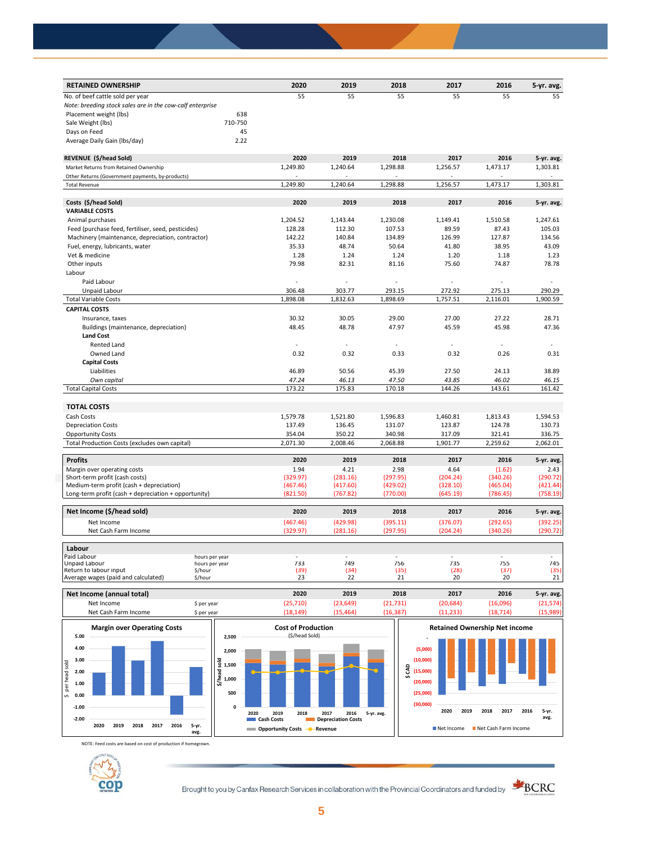| <b>RETAINED OWNERSHIP</b>                                 | 2020               | 2019               | 2018               | 2017               | 2016               | 5-yr. avg.         |
|-----------------------------------------------------------|--------------------|--------------------|--------------------|--------------------|--------------------|--------------------|
| No. of beef cattle sold per year                          | 55                 | 55                 | 55                 | 55                 | 55                 | 55                 |
| Note: breeding stock sales are in the cow-calf enterprise |                    |                    |                    |                    |                    |                    |
| Placement weight (lbs)<br>638                             |                    |                    |                    |                    |                    |                    |
| 710-750<br>Sale Weight (lbs)                              |                    |                    |                    |                    |                    |                    |
| 45<br>Days on Feed                                        |                    |                    |                    |                    |                    |                    |
| 2.22<br>Average Daily Gain (Ibs/day)                      |                    |                    |                    |                    |                    |                    |
| REVENUE (\$/head Sold)                                    | 2020               | 2019               | 2018               | 2017               | 2016               | 5-yr. avg.         |
| Market Returns from Retained Ownership                    | 1,249.80           | 1,240.64           | 1,298.88           | 1,256.57           | 1,473.17           | 1,303.81           |
| Other Returns (Government payments, by-products)          | $\overline{a}$     |                    |                    |                    |                    |                    |
| <b>Total Revenue</b>                                      | 1,249.80           | 1,240.64           | 1,298.88           | 1,256.57           | 1,473.17           | 1,303.81           |
| Costs (\$/head Sold)                                      | 2020               | 2019               | 2018               | 2017               | 2016               | 5-yr. avg.         |
| <b>VARIABLE COSTS</b>                                     |                    |                    |                    |                    |                    |                    |
| Animal purchases                                          | 1,204.52           | 1,143.44           | 1,230.08           | 1,149.41           | 1,510.58           | 1,247.61           |
| Feed (purchase feed, fertiliser, seed, pesticides)        | 128.28             | 112.30             | 107.53             | 89.59              | 87.43              | 105.03             |
| Machinery (maintenance, depreciation, contractor)         | 142.22             | 140.84             | 134.89             | 126.99             | 127.87             | 134.56             |
| Fuel, energy, lubricants, water                           | 35.33              | 48.74              | 50.64              | 41.80              | 38.95              | 43.09              |
| Vet & medicine                                            | 1.28               | 1.24               | 1.24               | 1.20               | 1.18               | 1.23               |
| Other inputs                                              | 79.98              | 82.31              | 81.16              | 75.60              | 74.87              | 78.78              |
| Labour                                                    |                    |                    |                    |                    |                    |                    |
| Paid Labour                                               |                    |                    |                    |                    |                    |                    |
|                                                           |                    |                    |                    |                    |                    |                    |
| Unpaid Labour<br><b>Total Variable Costs</b>              | 306.48<br>1.898.08 | 303.77<br>1,832.63 | 293.15<br>1.898.69 | 272.92<br>1,757.51 | 275.13<br>2.116.01 | 290.29<br>1.900.59 |
|                                                           |                    |                    |                    |                    |                    |                    |
| <b>CAPITAL COSTS</b>                                      |                    |                    |                    |                    |                    |                    |
| Insurance, taxes                                          | 30.32              | 30.05              | 29.00              | 27.00              | 27.22              | 28.71              |
| Buildings (maintenance, depreciation)                     | 48.45              | 48.78              | 47.97              | 45.59              | 45.98              | 47.36              |
| <b>Land Cost</b>                                          |                    |                    |                    |                    |                    |                    |
| <b>Rented Land</b>                                        | L.                 |                    |                    |                    | $\sim$             |                    |
| Owned Land                                                | 0.32               | 0.32               | 0.33               | 0.32               | 0.26               | 0.31               |
| <b>Capital Costs</b>                                      |                    |                    |                    |                    |                    |                    |
| Liabilities                                               | 46.89              | 50.56              | 45.39              | 27.50              | 24.13              | 38.89              |
| Own capital                                               | 47.24              | 46.13              | 47.50              | 43.85              | 46.02              | 46.15              |
| <b>Total Capital Costs</b>                                | 173.22             | 175.83             | 170.18             | 144.26             | 143.61             | 161.42             |
| <b>TOTAL COSTS</b>                                        |                    |                    |                    |                    |                    |                    |
| Cash Costs                                                | 1,579.78           | 1,521.80           | 1,596.83           | 1,460.81           | 1,813.43           | 1,594.53           |
| <b>Depreciation Costs</b>                                 | 137.49             | 136.45             | 131.07             | 123.87             | 124.78             | 130.73             |
| <b>Opportunity Costs</b>                                  | 354.04             | 350.22             | 340.98             | 317.09             | 321.41             | 336.75             |
| Total Production Costs (excludes own capital)             | 2,071.30           | 2,008.46           | 2,068.88           | 1,901.77           | 2,259.62           | 2,062.01           |
| <b>Profits</b>                                            | 2020               | 2019               | 2018               | 2017               | 2016               | 5-yr. avg.         |
| Margin over operating costs                               | 1.94               | 4.21               | 2.98               | 4.64               | (1.62)             | 2.43               |
| Short-term profit (cash costs)                            | (329.97)           | (281.16)           | (297.95)           | (204.24)           | (340.26)           | (290.72)           |
| Medium-term profit (cash + depreciation)                  | (467.46)           | (417.60)           | (429.02)           | (328.10)           | (465.04)           | (421.44)           |
| Long-term profit (cash + depreciation + opportunity)      | (821.50)           | (767.82)           | (770.00)           | (645.19)           | (786.45)           | (758.19)           |
|                                                           |                    |                    |                    |                    |                    |                    |
| Net Income (\$/head sold)                                 | 2020               | 2019               | 2018               | 2017               | 2016               | 5-yr. avg.         |
| Net Income                                                | (467.46)           | (429.98)           | (395.11)           | (376.07)           | (292.65)           | (392.25)           |
| Net Cash Farm Income                                      | (329.97)           | (281.16)           | (297.95)           | (204.24)           | (340.26)           | (290.72)           |
| Labour                                                    |                    |                    |                    |                    |                    |                    |
| Paid Labour<br>hours per year                             |                    |                    |                    |                    |                    |                    |
| Unpaid Labour<br>hours per year                           | 733                | 749                | 756                | 735                | 755                | 745                |
| Return to labour input<br>\$/hour                         | (39)<br>23         | (34)<br>22         | (35)<br>21         | (28)<br>20         | (37)<br>20         | (35)<br>21         |
| Average wages (paid and calculated)<br>\$/hour            |                    |                    |                    |                    |                    |                    |





NOTE: Feed costs are based on cost of production if homegrown.



Brought to you by Canfax Research Services in collaboration with the Provincial Coordinators and funded by **SCRC**